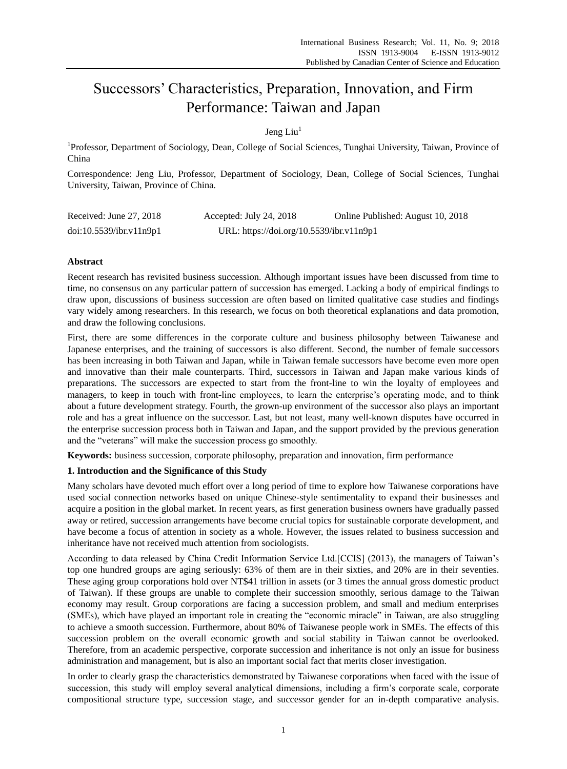# Successors' Characteristics, Preparation, Innovation, and Firm Performance: Taiwan and Japan

# Jeng Liu<sup>1</sup>

<sup>1</sup>Professor, Department of Sociology, Dean, College of Social Sciences, Tunghai University, Taiwan, Province of China

Correspondence: Jeng Liu, Professor, Department of Sociology, Dean, College of Social Sciences, Tunghai University, Taiwan, Province of China.

| Received: June 27, 2018 | Accepted: July 24, 2018                  | Online Published: August 10, 2018 |
|-------------------------|------------------------------------------|-----------------------------------|
| doi:10.5539/ibr.v11n9p1 | URL: https://doi.org/10.5539/ibr.v11n9p1 |                                   |

# **Abstract**

Recent research has revisited business succession. Although important issues have been discussed from time to time, no consensus on any particular pattern of succession has emerged. Lacking a body of empirical findings to draw upon, discussions of business succession are often based on limited qualitative case studies and findings vary widely among researchers. In this research, we focus on both theoretical explanations and data promotion, and draw the following conclusions.

First, there are some differences in the corporate culture and business philosophy between Taiwanese and Japanese enterprises, and the training of successors is also different. Second, the number of female successors has been increasing in both Taiwan and Japan, while in Taiwan female successors have become even more open and innovative than their male counterparts. Third, successors in Taiwan and Japan make various kinds of preparations. The successors are expected to start from the front-line to win the loyalty of employees and managers, to keep in touch with front-line employees, to learn the enterprise's operating mode, and to think about a future development strategy. Fourth, the grown-up environment of the successor also plays an important role and has a great influence on the successor. Last, but not least, many well-known disputes have occurred in the enterprise succession process both in Taiwan and Japan, and the support provided by the previous generation and the "veterans" will make the succession process go smoothly.

**Keywords:** business succession, corporate philosophy, preparation and innovation, firm performance

# **1. Introduction and the Significance of this Study**

Many scholars have devoted much effort over a long period of time to explore how Taiwanese corporations have used social connection networks based on unique Chinese-style sentimentality to expand their businesses and acquire a position in the global market. In recent years, as first generation business owners have gradually passed away or retired, succession arrangements have become crucial topics for sustainable corporate development, and have become a focus of attention in society as a whole. However, the issues related to business succession and inheritance have not received much attention from sociologists.

According to data released by China Credit Information Service Ltd.[CCIS] (2013), the managers of Taiwan's top one hundred groups are aging seriously: 63% of them are in their sixties, and 20% are in their seventies. These aging group corporations hold over NT\$41 trillion in assets (or 3 times the annual gross domestic product of Taiwan). If these groups are unable to complete their succession smoothly, serious damage to the Taiwan economy may result. Group corporations are facing a succession problem, and small and medium enterprises (SMEs), which have played an important role in creating the "economic miracle" in Taiwan, are also struggling to achieve a smooth succession. Furthermore, about 80% of Taiwanese people work in SMEs. The effects of this succession problem on the overall economic growth and social stability in Taiwan cannot be overlooked. Therefore, from an academic perspective, corporate succession and inheritance is not only an issue for business administration and management, but is also an important social fact that merits closer investigation.

In order to clearly grasp the characteristics demonstrated by Taiwanese corporations when faced with the issue of succession, this study will employ several analytical dimensions, including a firm's corporate scale, corporate compositional structure type, succession stage, and successor gender for an in-depth comparative analysis.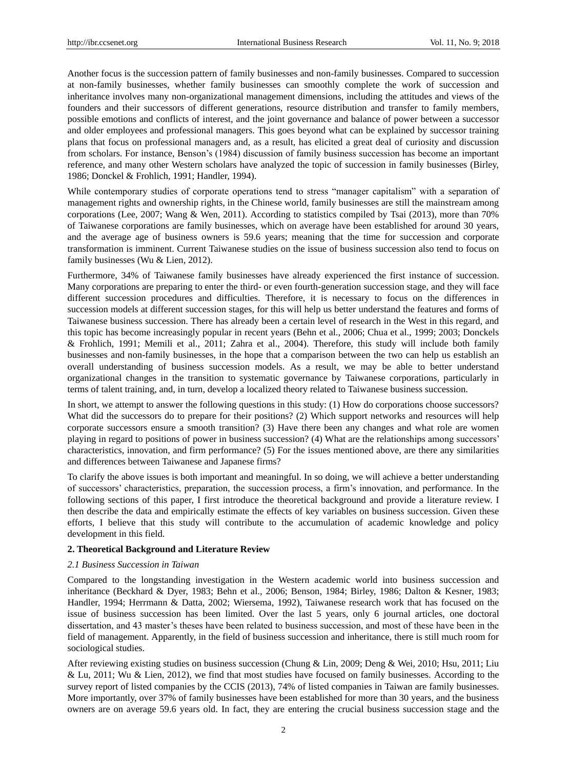Another focus is the succession pattern of family businesses and non-family businesses. Compared to succession at non-family businesses, whether family businesses can smoothly complete the work of succession and inheritance involves many non-organizational management dimensions, including the attitudes and views of the founders and their successors of different generations, resource distribution and transfer to family members, possible emotions and conflicts of interest, and the joint governance and balance of power between a successor and older employees and professional managers. This goes beyond what can be explained by successor training plans that focus on professional managers and, as a result, has elicited a great deal of curiosity and discussion from scholars. For instance, Benson's (1984) discussion of family business succession has become an important reference, and many other Western scholars have analyzed the topic of succession in family businesses (Birley, 1986; Donckel & Frohlich, 1991; Handler, 1994).

While contemporary studies of corporate operations tend to stress "manager capitalism" with a separation of management rights and ownership rights, in the Chinese world, family businesses are still the mainstream among corporations (Lee, 2007; Wang & Wen, 2011). According to statistics compiled by Tsai (2013), more than 70% of Taiwanese corporations are family businesses, which on average have been established for around 30 years, and the average age of business owners is 59.6 years; meaning that the time for succession and corporate transformation is imminent. Current Taiwanese studies on the issue of business succession also tend to focus on family businesses (Wu & Lien, 2012).

Furthermore, 34% of Taiwanese family businesses have already experienced the first instance of succession. Many corporations are preparing to enter the third- or even fourth-generation succession stage, and they will face different succession procedures and difficulties. Therefore, it is necessary to focus on the differences in succession models at different succession stages, for this will help us better understand the features and forms of Taiwanese business succession. There has already been a certain level of research in the West in this regard, and this topic has become increasingly popular in recent years (Behn et al., 2006; Chua et al., 1999; 2003; Donckels & Frohlich, 1991; Memili et al., 2011; Zahra et al., 2004). Therefore, this study will include both family businesses and non-family businesses, in the hope that a comparison between the two can help us establish an overall understanding of business succession models. As a result, we may be able to better understand organizational changes in the transition to systematic governance by Taiwanese corporations, particularly in terms of talent training, and, in turn, develop a localized theory related to Taiwanese business succession.

In short, we attempt to answer the following questions in this study: (1) How do corporations choose successors? What did the successors do to prepare for their positions? (2) Which support networks and resources will help corporate successors ensure a smooth transition? (3) Have there been any changes and what role are women playing in regard to positions of power in business succession? (4) What are the relationships among successors' characteristics, innovation, and firm performance? (5) For the issues mentioned above, are there any similarities and differences between Taiwanese and Japanese firms?

To clarify the above issues is both important and meaningful. In so doing, we will achieve a better understanding of successors' characteristics, preparation, the succession process, a firm's innovation, and performance. In the following sections of this paper, I first introduce the theoretical background and provide a literature review. I then describe the data and empirically estimate the effects of key variables on business succession. Given these efforts, I believe that this study will contribute to the accumulation of academic knowledge and policy development in this field.

#### **2. Theoretical Background and Literature Review**

#### *2.1 Business Succession in Taiwan*

Compared to the longstanding investigation in the Western academic world into business succession and inheritance (Beckhard & Dyer, 1983; Behn et al., 2006; Benson, 1984; Birley, 1986; Dalton & Kesner, 1983; Handler, 1994; Herrmann & Datta, 2002; Wiersema, 1992), Taiwanese research work that has focused on the issue of business succession has been limited. Over the last 5 years, only 6 journal articles, one doctoral dissertation, and 43 master's theses have been related to business succession, and most of these have been in the field of management. Apparently, in the field of business succession and inheritance, there is still much room for sociological studies.

After reviewing existing studies on business succession (Chung & Lin, 2009; Deng & Wei, 2010; Hsu, 2011; Liu & Lu, 2011; Wu & Lien, 2012), we find that most studies have focused on family businesses. According to the survey report of listed companies by the CCIS (2013), 74% of listed companies in Taiwan are family businesses. More importantly, over 37% of family businesses have been established for more than 30 years, and the business owners are on average 59.6 years old. In fact, they are entering the crucial business succession stage and the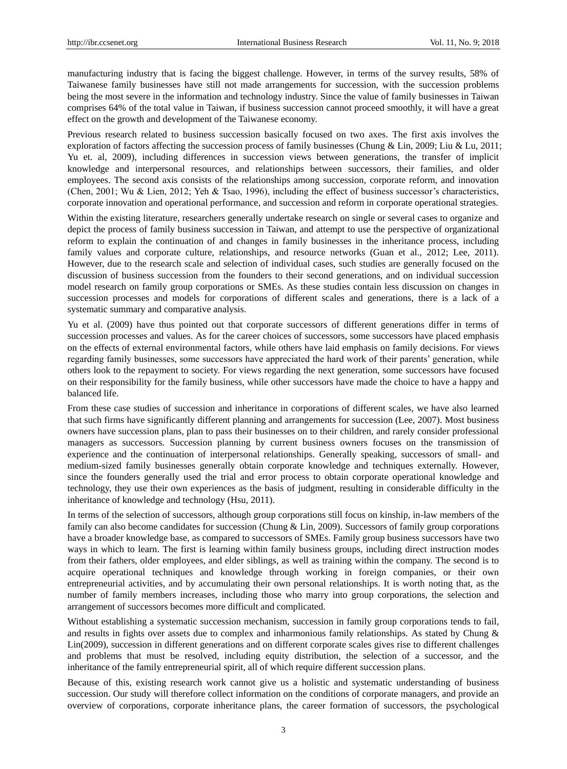manufacturing industry that is facing the biggest challenge. However, in terms of the survey results, 58% of Taiwanese family businesses have still not made arrangements for succession, with the succession problems being the most severe in the information and technology industry. Since the value of family businesses in Taiwan comprises 64% of the total value in Taiwan, if business succession cannot proceed smoothly, it will have a great effect on the growth and development of the Taiwanese economy.

Previous research related to business succession basically focused on two axes. The first axis involves the exploration of factors affecting the succession process of family businesses (Chung & Lin, 2009; Liu & Lu, 2011; Yu et. al, 2009), including differences in succession views between generations, the transfer of implicit knowledge and interpersonal resources, and relationships between successors, their families, and older employees. The second axis consists of the relationships among succession, corporate reform, and innovation (Chen, 2001; Wu & Lien, 2012; Yeh & Tsao, 1996), including the effect of business successor's characteristics, corporate innovation and operational performance, and succession and reform in corporate operational strategies.

Within the existing literature, researchers generally undertake research on single or several cases to organize and depict the process of family business succession in Taiwan, and attempt to use the perspective of organizational reform to explain the continuation of and changes in family businesses in the inheritance process, including family values and corporate culture, relationships, and resource networks (Guan et al., 2012; Lee, 2011). However, due to the research scale and selection of individual cases, such studies are generally focused on the discussion of business succession from the founders to their second generations, and on individual succession model research on family group corporations or SMEs. As these studies contain less discussion on changes in succession processes and models for corporations of different scales and generations, there is a lack of a systematic summary and comparative analysis.

Yu et al. (2009) have thus pointed out that corporate successors of different generations differ in terms of succession processes and values. As for the career choices of successors, some successors have placed emphasis on the effects of external environmental factors, while others have laid emphasis on family decisions. For views regarding family businesses, some successors have appreciated the hard work of their parents' generation, while others look to the repayment to society. For views regarding the next generation, some successors have focused on their responsibility for the family business, while other successors have made the choice to have a happy and balanced life.

From these case studies of succession and inheritance in corporations of different scales, we have also learned that such firms have significantly different planning and arrangements for succession (Lee, 2007). Most business owners have succession plans, plan to pass their businesses on to their children, and rarely consider professional managers as successors. Succession planning by current business owners focuses on the transmission of experience and the continuation of interpersonal relationships. Generally speaking, successors of small- and medium-sized family businesses generally obtain corporate knowledge and techniques externally. However, since the founders generally used the trial and error process to obtain corporate operational knowledge and technology, they use their own experiences as the basis of judgment, resulting in considerable difficulty in the inheritance of knowledge and technology (Hsu, 2011).

In terms of the selection of successors, although group corporations still focus on kinship, in-law members of the family can also become candidates for succession (Chung & Lin, 2009). Successors of family group corporations have a broader knowledge base, as compared to successors of SMEs. Family group business successors have two ways in which to learn. The first is learning within family business groups, including direct instruction modes from their fathers, older employees, and elder siblings, as well as training within the company. The second is to acquire operational techniques and knowledge through working in foreign companies, or their own entrepreneurial activities, and by accumulating their own personal relationships. It is worth noting that, as the number of family members increases, including those who marry into group corporations, the selection and arrangement of successors becomes more difficult and complicated.

Without establishing a systematic succession mechanism, succession in family group corporations tends to fail, and results in fights over assets due to complex and inharmonious family relationships. As stated by Chung & Lin(2009), succession in different generations and on different corporate scales gives rise to different challenges and problems that must be resolved, including equity distribution, the selection of a successor, and the inheritance of the family entrepreneurial spirit, all of which require different succession plans.

Because of this, existing research work cannot give us a holistic and systematic understanding of business succession. Our study will therefore collect information on the conditions of corporate managers, and provide an overview of corporations, corporate inheritance plans, the career formation of successors, the psychological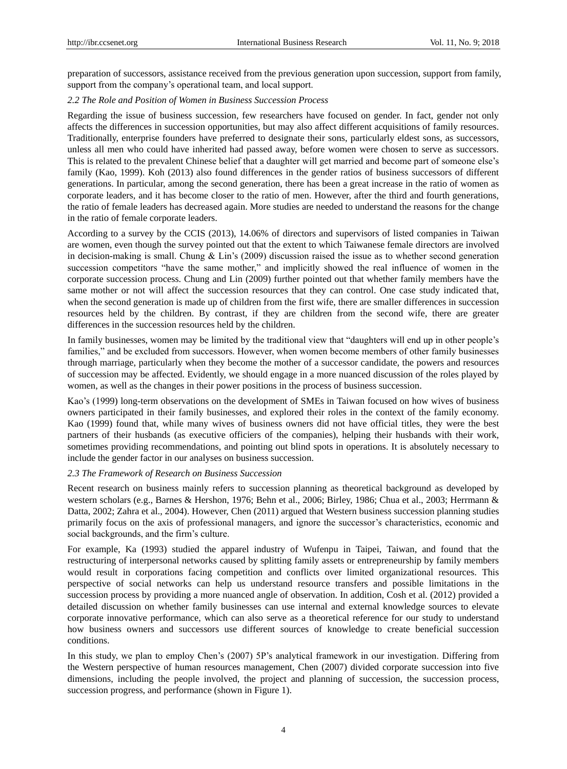preparation of successors, assistance received from the previous generation upon succession, support from family, support from the company's operational team, and local support.

## *2.2 The Role and Position of Women in Business Succession Process*

Regarding the issue of business succession, few researchers have focused on gender. In fact, gender not only affects the differences in succession opportunities, but may also affect different acquisitions of family resources. Traditionally, enterprise founders have preferred to designate their sons, particularly eldest sons, as successors, unless all men who could have inherited had passed away, before women were chosen to serve as successors. This is related to the prevalent Chinese belief that a daughter will get married and become part of someone else's family (Kao, 1999). Koh (2013) also found differences in the gender ratios of business successors of different generations. In particular, among the second generation, there has been a great increase in the ratio of women as corporate leaders, and it has become closer to the ratio of men. However, after the third and fourth generations, the ratio of female leaders has decreased again. More studies are needed to understand the reasons for the change in the ratio of female corporate leaders.

According to a survey by the CCIS (2013), 14.06% of directors and supervisors of listed companies in Taiwan are women, even though the survey pointed out that the extent to which Taiwanese female directors are involved in decision-making is small. Chung  $&$  Lin's (2009) discussion raised the issue as to whether second generation succession competitors "have the same mother," and implicitly showed the real influence of women in the corporate succession process. Chung and Lin (2009) further pointed out that whether family members have the same mother or not will affect the succession resources that they can control. One case study indicated that, when the second generation is made up of children from the first wife, there are smaller differences in succession resources held by the children. By contrast, if they are children from the second wife, there are greater differences in the succession resources held by the children.

In family businesses, women may be limited by the traditional view that "daughters will end up in other people's families," and be excluded from successors. However, when women become members of other family businesses through marriage, particularly when they become the mother of a successor candidate, the powers and resources of succession may be affected. Evidently, we should engage in a more nuanced discussion of the roles played by women, as well as the changes in their power positions in the process of business succession.

Kao's (1999) long-term observations on the development of SMEs in Taiwan focused on how wives of business owners participated in their family businesses, and explored their roles in the context of the family economy. Kao (1999) found that, while many wives of business owners did not have official titles, they were the best partners of their husbands (as executive officiers of the companies), helping their husbands with their work, sometimes providing recommendations, and pointing out blind spots in operations. It is absolutely necessary to include the gender factor in our analyses on business succession.

# *2.3 The Framework of Research on Business Succession*

Recent research on business mainly refers to succession planning as theoretical background as developed by western scholars (e.g., Barnes & Hershon, 1976; Behn et al., 2006; Birley, 1986; Chua et al., 2003; Herrmann & Datta, 2002; Zahra et al., 2004). However, Chen (2011) argued that Western business succession planning studies primarily focus on the axis of professional managers, and ignore the successor's characteristics, economic and social backgrounds, and the firm's culture.

For example, Ka (1993) studied the apparel industry of Wufenpu in Taipei, Taiwan, and found that the restructuring of interpersonal networks caused by splitting family assets or entrepreneurship by family members would result in corporations facing competition and conflicts over limited organizational resources. This perspective of social networks can help us understand resource transfers and possible limitations in the succession process by providing a more nuanced angle of observation. In addition, Cosh et al. (2012) provided a detailed discussion on whether family businesses can use internal and external knowledge sources to elevate corporate innovative performance, which can also serve as a theoretical reference for our study to understand how business owners and successors use different sources of knowledge to create beneficial succession conditions.

In this study, we plan to employ Chen's (2007) 5P's analytical framework in our investigation. Differing from the Western perspective of human resources management, Chen (2007) divided corporate succession into five dimensions, including the people involved, the project and planning of succession, the succession process, succession progress, and performance (shown in Figure 1).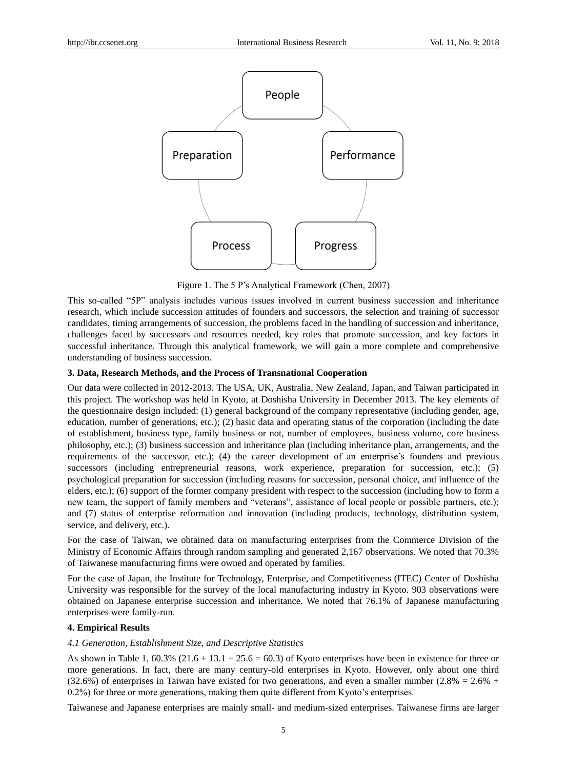

Figure 1. The 5 P's Analytical Framework (Chen, 2007)

This so-called "5P" analysis includes various issues involved in current business succession and inheritance research, which include succession attitudes of founders and successors, the selection and training of successor candidates, timing arrangements of succession, the problems faced in the handling of succession and inheritance, challenges faced by successors and resources needed, key roles that promote succession, and key factors in successful inheritance. Through this analytical framework, we will gain a more complete and comprehensive understanding of business succession.

#### **3. Data, Research Methods, and the Process of Transnational Cooperation**

Our data were collected in 2012-2013. The USA, UK, Australia, New Zealand, Japan, and Taiwan participated in this project. The workshop was held in Kyoto, at Doshisha University in December 2013. The key elements of the questionnaire design included: (1) general background of the company representative (including gender, age, education, number of generations, etc.); (2) basic data and operating status of the corporation (including the date of establishment, business type, family business or not, number of employees, business volume, core business philosophy, etc.); (3) business succession and inheritance plan (including inheritance plan, arrangements, and the requirements of the successor, etc.); (4) the career development of an enterprise's founders and previous successors (including entrepreneurial reasons, work experience, preparation for succession, etc.); (5) psychological preparation for succession (including reasons for succession, personal choice, and influence of the elders, etc.); (6) support of the former company president with respect to the succession (including how to form a new team, the support of family members and "veterans", assistance of local people or possible partners, etc.); and (7) status of enterprise reformation and innovation (including products, technology, distribution system, service, and delivery, etc.).

For the case of Taiwan, we obtained data on manufacturing enterprises from the Commerce Division of the Ministry of Economic Affairs through random sampling and generated 2,167 observations. We noted that 70.3% of Taiwanese manufacturing firms were owned and operated by families.

For the case of Japan, the Institute for Technology, Enterprise, and Competitiveness (ITEC) Center of Doshisha University was responsible for the survey of the local manufacturing industry in Kyoto. 903 observations were obtained on Japanese enterprise succession and inheritance. We noted that 76.1% of Japanese manufacturing enterprises were family-run.

### **4. Empirical Results**

## *4.1 Generation, Establishment Size, and Descriptive Statistics*

As shown in Table 1, 60.3%  $(21.6 + 13.1 + 25.6 = 60.3)$  of Kyoto enterprises have been in existence for three or more generations. In fact, there are many century-old enterprises in Kyoto. However, only about one third (32.6%) of enterprises in Taiwan have existed for two generations, and even a smaller number (2.8% =  $2.6\%$  + 0.2%) for three or more generations, making them quite different from Kyoto's enterprises.

Taiwanese and Japanese enterprises are mainly small- and medium-sized enterprises. Taiwanese firms are larger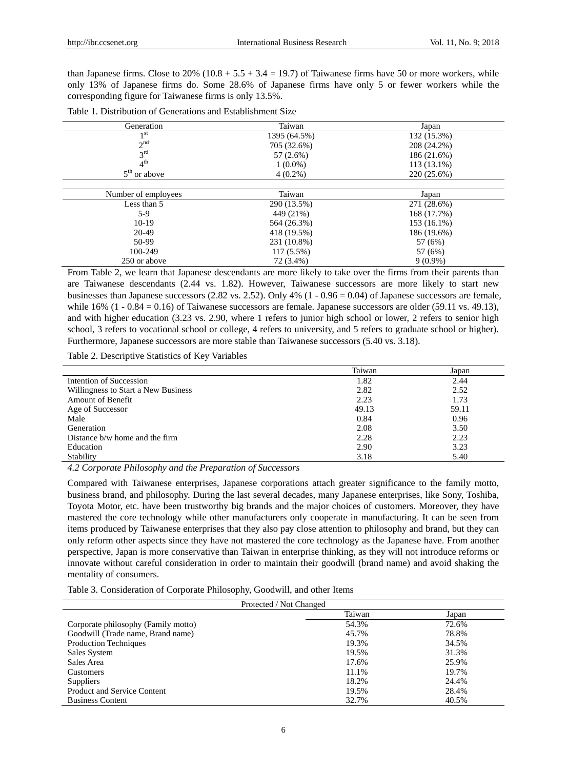than Japanese firms. Close to  $20\%$  (10.8 + 5.5 + 3.4 = 19.7) of Taiwanese firms have 50 or more workers, while only 13% of Japanese firms do. Some 28.6% of Japanese firms have only 5 or fewer workers while the corresponding figure for Taiwanese firms is only 13.5%.

| Generation          | Taiwan       | Japan         |
|---------------------|--------------|---------------|
| 1 <sup>st</sup>     | 1395 (64.5%) | 132 (15.3%)   |
| 2 <sup>nd</sup>     | 705 (32.6%)  | 208 (24.2%)   |
| 3 <sup>rd</sup>     | $57(2.6\%)$  | 186 (21.6%)   |
| 4 <sup>th</sup>     | $1(0.0\%)$   | $113(13.1\%)$ |
| $5th$ or above      | $4(0.2\%)$   | 220 (25.6%)   |
|                     |              |               |
| Number of employees | Taiwan       | Japan         |
| Less than 5         | 290 (13.5%)  | 271 (28.6%)   |
| $5-9$               | 449 (21%)    | 168 (17.7%)   |
| $10-19$             | 564 (26.3%)  | 153 (16.1%)   |
| $20-49$             | 418 (19.5%)  | 186 (19.6%)   |
| 50-99               | 231 (10.8%)  | 57 (6%)       |
| 100-249             | $117(5.5\%)$ | 57 (6%)       |
| 250 or above        | 72 (3.4%)    | $9(0.9\%)$    |

| Table 1. Distribution of Generations and Establishment Size |
|-------------------------------------------------------------|
|-------------------------------------------------------------|

From Table 2, we learn that Japanese descendants are more likely to take over the firms from their parents than are Taiwanese descendants (2.44 vs. 1.82). However, Taiwanese successors are more likely to start new businesses than Japanese successors (2.82 vs. 2.52). Only  $4\%$  (1 - 0.96 = 0.04) of Japanese successors are female, while  $16\%$  (1 - 0.84 = 0.16) of Taiwanese successors are female. Japanese successors are older (59.11 vs. 49.13), and with higher education (3.23 vs. 2.90, where 1 refers to junior high school or lower, 2 refers to senior high school, 3 refers to vocational school or college, 4 refers to university, and 5 refers to graduate school or higher). Furthermore, Japanese successors are more stable than Taiwanese successors (5.40 vs. 3.18).

Table 2. Descriptive Statistics of Key Variables

|                                     | Taiwan | Japan |
|-------------------------------------|--------|-------|
| Intention of Succession             | 1.82   | 2.44  |
| Willingness to Start a New Business | 2.82   | 2.52  |
| <b>Amount of Benefit</b>            | 2.23   | 1.73  |
| Age of Successor                    | 49.13  | 59.11 |
| Male                                | 0.84   | 0.96  |
| Generation                          | 2.08   | 3.50  |
| Distance b/w home and the firm      | 2.28   | 2.23  |
| Education                           | 2.90   | 3.23  |
| Stability                           | 3.18   | 5.40  |

*4.2 Corporate Philosophy and the Preparation of Successors*

Compared with Taiwanese enterprises, Japanese corporations attach greater significance to the family motto, business brand, and philosophy. During the last several decades, many Japanese enterprises, like Sony, Toshiba, Toyota Motor, etc. have been trustworthy big brands and the major choices of customers. Moreover, they have mastered the core technology while other manufacturers only cooperate in manufacturing. It can be seen from items produced by Taiwanese enterprises that they also pay close attention to philosophy and brand, but they can only reform other aspects since they have not mastered the core technology as the Japanese have. From another perspective, Japan is more conservative than Taiwan in enterprise thinking, as they will not introduce reforms or innovate without careful consideration in order to maintain their goodwill (brand name) and avoid shaking the mentality of consumers.

Table 3. Consideration of Corporate Philosophy, Goodwill, and other Items

| Protected / Not Changed             |        |       |  |  |
|-------------------------------------|--------|-------|--|--|
|                                     | Taiwan | Japan |  |  |
| Corporate philosophy (Family motto) | 54.3%  | 72.6% |  |  |
| Goodwill (Trade name, Brand name)   | 45.7%  | 78.8% |  |  |
| <b>Production Techniques</b>        | 19.3%  | 34.5% |  |  |
| Sales System                        | 19.5%  | 31.3% |  |  |
| Sales Area                          | 17.6%  | 25.9% |  |  |
| <b>Customers</b>                    | 11.1%  | 19.7% |  |  |
| Suppliers                           | 18.2%  | 24.4% |  |  |
| <b>Product and Service Content</b>  | 19.5%  | 28.4% |  |  |
| <b>Business Content</b>             | 32.7%  | 40.5% |  |  |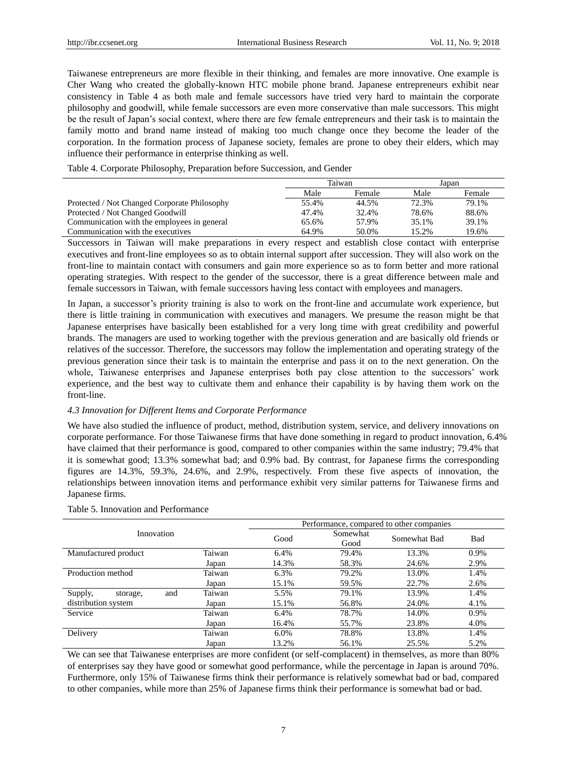Taiwanese entrepreneurs are more flexible in their thinking, and females are more innovative. One example is Cher Wang who created the globally-known HTC mobile phone brand. Japanese entrepreneurs exhibit near consistency in Table 4 as both male and female successors have tried very hard to maintain the corporate philosophy and goodwill, while female successors are even more conservative than male successors. This might be the result of Japan's social context, where there are few female entrepreneurs and their task is to maintain the family motto and brand name instead of making too much change once they become the leader of the corporation. In the formation process of Japanese society, females are prone to obey their elders, which may influence their performance in enterprise thinking as well.

# Table 4. Corporate Philosophy, Preparation before Succession, and Gender

|                                              | Taiwan |        | Japan |        |
|----------------------------------------------|--------|--------|-------|--------|
|                                              | Male   | Female | Male  | Female |
| Protected / Not Changed Corporate Philosophy | 55.4%  | 44.5%  | 72.3% | 79.1%  |
| Protected / Not Changed Goodwill             | 47.4%  | 32.4%  | 78.6% | 88.6%  |
| Communication with the employees in general  | 65.6%  | 57.9%  | 35.1% | 39.1%  |
| Communication with the executives            | 64.9%  | 50.0%  | 15.2% | 19.6%  |

Successors in Taiwan will make preparations in every respect and establish close contact with enterprise executives and front-line employees so as to obtain internal support after succession. They will also work on the front-line to maintain contact with consumers and gain more experience so as to form better and more rational operating strategies. With respect to the gender of the successor, there is a great difference between male and female successors in Taiwan, with female successors having less contact with employees and managers.

In Japan, a successor's priority training is also to work on the front-line and accumulate work experience, but there is little training in communication with executives and managers. We presume the reason might be that Japanese enterprises have basically been established for a very long time with great credibility and powerful brands. The managers are used to working together with the previous generation and are basically old friends or relatives of the successor. Therefore, the successors may follow the implementation and operating strategy of the previous generation since their task is to maintain the enterprise and pass it on to the next generation. On the whole, Taiwanese enterprises and Japanese enterprises both pay close attention to the successors' work experience, and the best way to cultivate them and enhance their capability is by having them work on the front-line.

#### *4.3 Innovation for Different Items and Corporate Performance*

We have also studied the influence of product, method, distribution system, service, and delivery innovations on corporate performance. For those Taiwanese firms that have done something in regard to product innovation, 6.4% have claimed that their performance is good, compared to other companies within the same industry; 79.4% that it is somewhat good; 13.3% somewhat bad; and 0.9% bad. By contrast, for Japanese firms the corresponding figures are 14.3%, 59.3%, 24.6%, and 2.9%, respectively. From these five aspects of innovation, the relationships between innovation items and performance exhibit very similar patterns for Taiwanese firms and Japanese firms.

| Innovation                 |        | Performance, compared to other companies |                  |              |      |
|----------------------------|--------|------------------------------------------|------------------|--------------|------|
|                            |        | Good                                     | Somewhat<br>Good | Somewhat Bad | Bad  |
| Manufactured product       | Taiwan | 6.4%                                     | 79.4%            | 13.3%        | 0.9% |
|                            | Japan  | 14.3%                                    | 58.3%            | 24.6%        | 2.9% |
| Production method          | Taiwan | 6.3%                                     | 79.2%            | 13.0%        | 1.4% |
|                            | Japan  | 15.1%                                    | 59.5%            | 22.7%        | 2.6% |
| Supply,<br>and<br>storage. | Taiwan | 5.5%                                     | 79.1%            | 13.9%        | 1.4% |
| distribution system        | Japan  | 15.1%                                    | 56.8%            | 24.0%        | 4.1% |
| Service                    | Taiwan | 6.4%                                     | 78.7%            | 14.0%        | 0.9% |
|                            | Japan  | 16.4%                                    | 55.7%            | 23.8%        | 4.0% |
| Delivery                   | Taiwan | 6.0%                                     | 78.8%            | 13.8%        | 1.4% |
|                            | Japan  | 13.2%                                    | 56.1%            | 25.5%        | 5.2% |

#### Table 5. Innovation and Performance

We can see that Taiwanese enterprises are more confident (or self-complacent) in themselves, as more than 80% of enterprises say they have good or somewhat good performance, while the percentage in Japan is around 70%. Furthermore, only 15% of Taiwanese firms think their performance is relatively somewhat bad or bad, compared to other companies, while more than 25% of Japanese firms think their performance is somewhat bad or bad.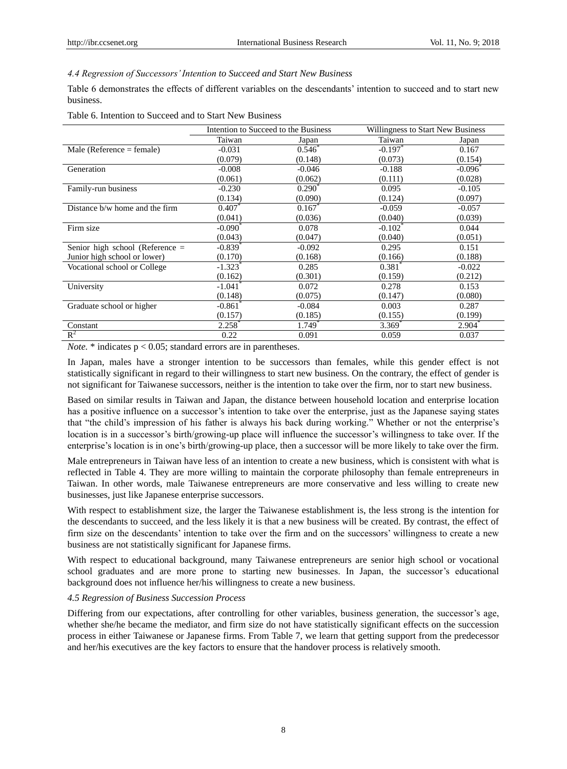# *4.4 Regression of Successors' Intention to Succeed and Start New Business*

Table 6 demonstrates the effects of different variables on the descendants' intention to succeed and to start new business.

|                                   | Intention to Succeed to the Business |                      | Willingness to Start New Business |           |
|-----------------------------------|--------------------------------------|----------------------|-----------------------------------|-----------|
|                                   | Taiwan                               | Japan                | Taiwan                            | Japan     |
| Male (Reference = female)         | $-0.031$                             | $0.546^*$            | $-0.197$ <sup>*</sup>             | 0.167     |
|                                   | (0.079)                              | (0.148)              | (0.073)                           | (0.154)   |
| Generation                        | $-0.008$                             | $-0.046$             | $-0.188$                          | $-0.096$  |
|                                   | (0.061)                              | (0.062)              | (0.111)                           | (0.028)   |
| Family-run business               | $-0.230$                             | $0.290^{\degree}$    | 0.095                             | $-0.105$  |
|                                   | (0.134)                              | (0.090)              | (0.124)                           | (0.097)   |
| Distance b/w home and the firm    | 0.407                                | 0.167                | $-0.059$                          | $-0.057$  |
|                                   | (0.041)                              | (0.036)              | (0.040)                           | (0.039)   |
| Firm size                         | $-0.090^{\circ}$                     | 0.078                | $-0.102^*$                        | 0.044     |
|                                   | (0.043)                              | (0.047)              | (0.040)                           | (0.051)   |
| Senior high school (Reference $=$ | $-0.839$ <sup>*</sup>                | $-0.092$             | 0.295                             | 0.151     |
| Junior high school or lower)      | (0.170)                              | (0.168)              | (0.166)                           | (0.188)   |
| Vocational school or College      | $-1.323$ <sup>*</sup>                | 0.285                | 0.381                             | $-0.022$  |
|                                   | (0.162)                              | (0.301)              | (0.159)                           | (0.212)   |
| University                        | $-1.041$ <sup>*</sup>                | 0.072                | 0.278                             | 0.153     |
|                                   | (0.148)                              | (0.075)              | (0.147)                           | (0.080)   |
| Graduate school or higher         | $-0.861$ <sup>*</sup>                | $-0.084$             | 0.003                             | 0.287     |
|                                   | (0.157)                              | (0.185)              | (0.155)                           | (0.199)   |
| Constant                          | $2.258^*$                            | $1.749$ <sup>*</sup> | $3.369$ <sup>*</sup>              | $2.904^*$ |
| $\mathbb{R}^2$                    | 0.22                                 | 0.091                | 0.059                             | 0.037     |

*Note.* \* indicates  $p < 0.05$ ; standard errors are in parentheses.

In Japan, males have a stronger intention to be successors than females, while this gender effect is not statistically significant in regard to their willingness to start new business. On the contrary, the effect of gender is not significant for Taiwanese successors, neither is the intention to take over the firm, nor to start new business.

Based on similar results in Taiwan and Japan, the distance between household location and enterprise location has a positive influence on a successor's intention to take over the enterprise, just as the Japanese saying states that "the child's impression of his father is always his back during working." Whether or not the enterprise's location is in a successor's birth/growing-up place will influence the successor's willingness to take over. If the enterprise's location is in one's birth/growing-up place, then a successor will be more likely to take over the firm.

Male entrepreneurs in Taiwan have less of an intention to create a new business, which is consistent with what is reflected in Table 4. They are more willing to maintain the corporate philosophy than female entrepreneurs in Taiwan. In other words, male Taiwanese entrepreneurs are more conservative and less willing to create new businesses, just like Japanese enterprise successors.

With respect to establishment size, the larger the Taiwanese establishment is, the less strong is the intention for the descendants to succeed, and the less likely it is that a new business will be created. By contrast, the effect of firm size on the descendants' intention to take over the firm and on the successors' willingness to create a new business are not statistically significant for Japanese firms.

With respect to educational background, many Taiwanese entrepreneurs are senior high school or vocational school graduates and are more prone to starting new businesses. In Japan, the successor's educational background does not influence her/his willingness to create a new business.

# *4.5 Regression of Business Succession Process*

Differing from our expectations, after controlling for other variables, business generation, the successor's age, whether she/he became the mediator, and firm size do not have statistically significant effects on the succession process in either Taiwanese or Japanese firms. From Table 7, we learn that getting support from the predecessor and her/his executives are the key factors to ensure that the handover process is relatively smooth.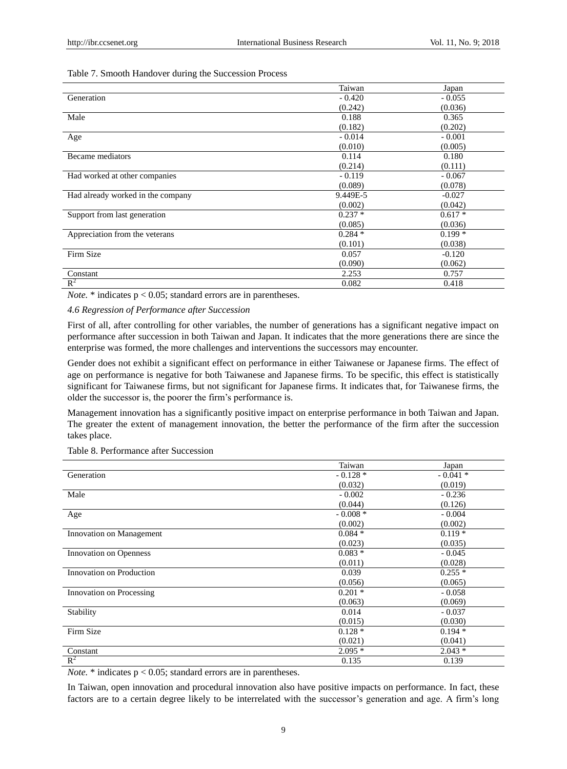# Table 7. Smooth Handover during the Succession Process

|                                   | Taiwan   | Japan    |
|-----------------------------------|----------|----------|
| Generation                        | $-0.420$ | $-0.055$ |
|                                   | (0.242)  | (0.036)  |
| Male                              | 0.188    | 0.365    |
|                                   | (0.182)  | (0.202)  |
| Age                               | $-0.014$ | $-0.001$ |
|                                   | (0.010)  | (0.005)  |
| Became mediators                  | 0.114    | 0.180    |
|                                   | (0.214)  | (0.111)  |
| Had worked at other companies     | $-0.119$ | $-0.067$ |
|                                   | (0.089)  | (0.078)  |
| Had already worked in the company | 9.449E-5 | $-0.027$ |
|                                   | (0.002)  | (0.042)  |
| Support from last generation      | $0.237*$ | $0.617*$ |
|                                   | (0.085)  | (0.036)  |
| Appreciation from the veterans    | $0.284*$ | $0.199*$ |
|                                   | (0.101)  | (0.038)  |
| Firm Size                         | 0.057    | $-0.120$ |
|                                   | (0.090)  | (0.062)  |
| Constant                          | 2.253    | 0.757    |
| $R^2$                             | 0.082    | 0.418    |

*Note.*  $*$  indicates  $p < 0.05$ ; standard errors are in parentheses.

# *4.6 Regression of Performance after Succession*

First of all, after controlling for other variables, the number of generations has a significant negative impact on performance after succession in both Taiwan and Japan. It indicates that the more generations there are since the enterprise was formed, the more challenges and interventions the successors may encounter.

Gender does not exhibit a significant effect on performance in either Taiwanese or Japanese firms. The effect of age on performance is negative for both Taiwanese and Japanese firms. To be specific, this effect is statistically significant for Taiwanese firms, but not significant for Japanese firms. It indicates that, for Taiwanese firms, the older the successor is, the poorer the firm's performance is.

Management innovation has a significantly positive impact on enterprise performance in both Taiwan and Japan. The greater the extent of management innovation, the better the performance of the firm after the succession takes place.

Table 8. Performance after Succession

|                          | Taiwan    | Japan     |
|--------------------------|-----------|-----------|
| Generation               | $-0.128*$ | $-0.041*$ |
|                          | (0.032)   | (0.019)   |
| Male                     | $-0.002$  | $-0.236$  |
|                          | (0.044)   | (0.126)   |
| Age                      | $-0.008*$ | $-0.004$  |
|                          | (0.002)   | (0.002)   |
| Innovation on Management | $0.084*$  | $0.119*$  |
|                          | (0.023)   | (0.035)   |
| Innovation on Openness   | $0.083*$  | $-0.045$  |
|                          | (0.011)   | (0.028)   |
| Innovation on Production | 0.039     | $0.255*$  |
|                          | (0.056)   | (0.065)   |
| Innovation on Processing | $0.201*$  | $-0.058$  |
|                          | (0.063)   | (0.069)   |
| Stability                | 0.014     | $-0.037$  |
|                          | (0.015)   | (0.030)   |
| Firm Size                | $0.128*$  | $0.194*$  |
|                          | (0.021)   | (0.041)   |
| Constant                 | $2.095*$  | $2.043*$  |
| $R^2$                    | 0.135     | 0.139     |

*Note.* \* indicates  $p < 0.05$ ; standard errors are in parentheses.

In Taiwan, open innovation and procedural innovation also have positive impacts on performance. In fact, these factors are to a certain degree likely to be interrelated with the successor's generation and age. A firm's long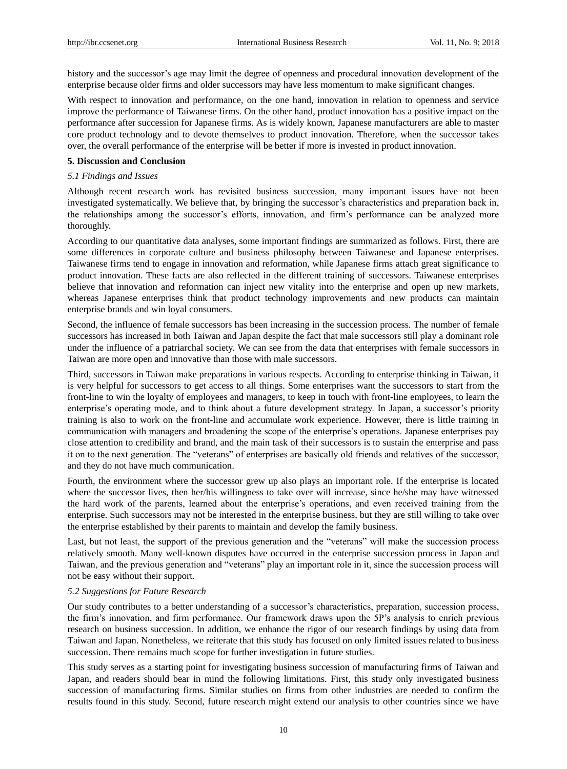history and the successor's age may limit the degree of openness and procedural innovation development of the enterprise because older firms and older successors may have less momentum to make significant changes.

With respect to innovation and performance, on the one hand, innovation in relation to openness and service improve the performance of Taiwanese firms. On the other hand, product innovation has a positive impact on the performance after succession for Japanese firms. As is widely known, Japanese manufacturers are able to master core product technology and to devote themselves to product innovation. Therefore, when the successor takes over, the overall performance of the enterprise will be better if more is invested in product innovation.

# **5. Discussion and Conclusion**

# *5.1 Findings and Issues*

Although recent research work has revisited business succession, many important issues have not been investigated systematically. We believe that, by bringing the successor's characteristics and preparation back in, the relationships among the successor's efforts, innovation, and firm's performance can be analyzed more thoroughly.

According to our quantitative data analyses, some important findings are summarized as follows. First, there are some differences in corporate culture and business philosophy between Taiwanese and Japanese enterprises. Taiwanese firms tend to engage in innovation and reformation, while Japanese firms attach great significance to product innovation. These facts are also reflected in the different training of successors. Taiwanese enterprises believe that innovation and reformation can inject new vitality into the enterprise and open up new markets, whereas Japanese enterprises think that product technology improvements and new products can maintain enterprise brands and win loyal consumers.

Second, the influence of female successors has been increasing in the succession process. The number of female successors has increased in both Taiwan and Japan despite the fact that male successors still play a dominant role under the influence of a patriarchal society. We can see from the data that enterprises with female successors in Taiwan are more open and innovative than those with male successors.

Third, successors in Taiwan make preparations in various respects. According to enterprise thinking in Taiwan, it is very helpful for successors to get access to all things. Some enterprises want the successors to start from the front-line to win the loyalty of employees and managers, to keep in touch with front-line employees, to learn the enterprise's operating mode, and to think about a future development strategy. In Japan, a successor's priority training is also to work on the front-line and accumulate work experience. However, there is little training in communication with managers and broadening the scope of the enterprise's operations. Japanese enterprises pay close attention to credibility and brand, and the main task of their successors is to sustain the enterprise and pass it on to the next generation. The "veterans" of enterprises are basically old friends and relatives of the successor, and they do not have much communication.

Fourth, the environment where the successor grew up also plays an important role. If the enterprise is located where the successor lives, then her/his willingness to take over will increase, since he/she may have witnessed the hard work of the parents, learned about the enterprise's operations, and even received training from the enterprise. Such successors may not be interested in the enterprise business, but they are still willing to take over the enterprise established by their parents to maintain and develop the family business.

Last, but not least, the support of the previous generation and the "veterans" will make the succession process relatively smooth. Many well-known disputes have occurred in the enterprise succession process in Japan and Taiwan, and the previous generation and "veterans" play an important role in it, since the succession process will not be easy without their support.

# *5.2 Suggestions for Future Research*

Our study contributes to a better understanding of a successor's characteristics, preparation, succession process, the firm's innovation, and firm performance. Our framework draws upon the 5P's analysis to enrich previous research on business succession. In addition, we enhance the rigor of our research findings by using data from Taiwan and Japan. Nonetheless, we reiterate that this study has focused on only limited issues related to business succession. There remains much scope for further investigation in future studies.

This study serves as a starting point for investigating business succession of manufacturing firms of Taiwan and Japan, and readers should bear in mind the following limitations. First, this study only investigated business succession of manufacturing firms. Similar studies on firms from other industries are needed to confirm the results found in this study. Second, future research might extend our analysis to other countries since we have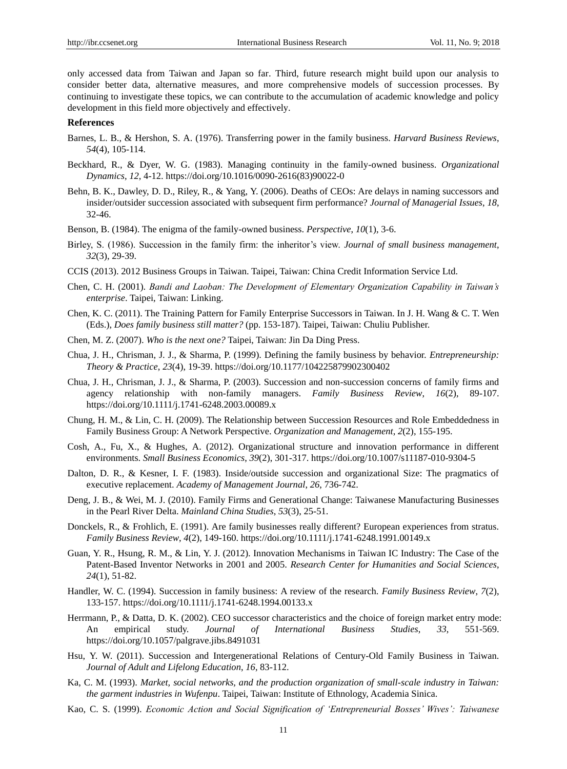only accessed data from Taiwan and Japan so far. Third, future research might build upon our analysis to consider better data, alternative measures, and more comprehensive models of succession processes. By continuing to investigate these topics, we can contribute to the accumulation of academic knowledge and policy development in this field more objectively and effectively.

#### **References**

- Barnes, L. B., & Hershon, S. A. (1976). Transferring power in the family business. *Harvard Business Reviews*, *54*(4), 105-114.
- Beckhard, R., & Dyer, W. G. (1983). Managing continuity in the family-owned business. *Organizational Dynamics*, *12*, 4-12. https://doi.org/10.1016/0090-2616(83)90022-0
- Behn, B. K., Dawley, D. D., Riley, R., & Yang, Y. (2006). Deaths of CEOs: Are delays in naming successors and insider/outsider succession associated with subsequent firm performance? *Journal of Managerial Issues*, *18*, 32-46.
- Benson, B. (1984). The enigma of the family-owned business. *Perspective*, *10*(1), 3-6.
- Birley, S. (1986). Succession in the family firm: the inheritor's view. *Journal of small business management*, *32*(3), 29-39.
- CCIS (2013). 2012 Business Groups in Taiwan. Taipei, Taiwan: China Credit Information Service Ltd.
- Chen, C. H. (2001). *Bandi and Laoban: The Development of Elementary Organization Capability in Taiwan's enterprise*. Taipei, Taiwan: Linking.
- Chen, K. C. (2011). The Training Pattern for Family Enterprise Successors in Taiwan. In J. H. Wang & C. T. Wen (Eds.), *Does family business still matter?* (pp. 153-187). Taipei, Taiwan: Chuliu Publisher.
- Chen, M. Z. (2007). *Who is the next one?* Taipei, Taiwan: Jin Da Ding Press.
- Chua, J. H., Chrisman, J. J., & Sharma, P. (1999). Defining the family business by behavior. *Entrepreneurship: Theory & Practice*, *23*(4), 19-39. https://doi.org/10.1177/104225879902300402
- Chua, J. H., Chrisman, J. J., & Sharma, P. (2003). Succession and non-succession concerns of family firms and agency relationship with non-family managers. *Family Business Review*, *16*(2), 89-107. https://doi.org/10.1111/j.1741-6248.2003.00089.x
- Chung, H. M., & Lin, C. H. (2009). The Relationship between Succession Resources and Role Embeddedness in Family Business Group: A Network Perspective. *Organization and Management*, *2*(2), 155-195.
- Cosh, A., Fu, X., & Hughes, A. (2012). Organizational structure and innovation performance in different environments. *Small Business Economics*, *39*(2), 301-317. https://doi.org/10.1007/s11187-010-9304-5
- Dalton, D. R., & Kesner, I. F. (1983). Inside/outside succession and organizational Size: The pragmatics of executive replacement. *Academy of Management Journal*, *26*, 736-742.
- Deng, J. B., & Wei, M. J. (2010). Family Firms and Generational Change: Taiwanese Manufacturing Businesses in the Pearl River Delta. *Mainland China Studies*, *53*(3), 25-51.
- Donckels, R., & Frohlich, E. (1991). Are family businesses really different? European experiences from stratus. *Family Business Review*, *4*(2), 149-160. https://doi.org/10.1111/j.1741-6248.1991.00149.x
- Guan, Y. R., Hsung, R. M., & Lin, Y. J. (2012). Innovation Mechanisms in Taiwan IC Industry: The Case of the Patent-Based Inventor Networks in 2001 and 2005. *Research Center for Humanities and Social Sciences*, *24*(1), 51-82.
- Handler, W. C. (1994). Succession in family business: A review of the research. *Family Business Review*, *7*(2), 133-157. https://doi.org/10.1111/j.1741-6248.1994.00133.x
- Herrmann, P., & Datta, D. K. (2002). CEO successor characteristics and the choice of foreign market entry mode: An empirical study. *Journal of International Business Studies*, *33*, 551-569. https://doi.org/10.1057/palgrave.jibs.8491031
- Hsu, Y. W. (2011). Succession and Intergenerational Relations of Century-Old Family Business in Taiwan. *Journal of Adult and Lifelong Education*, *16*, 83-112.
- Ka, C. M. (1993). *Market, social networks, and the production organization of small-scale industry in Taiwan: the garment industries in Wufenpu*. Taipei, Taiwan: Institute of Ethnology, Academia Sinica.
- Kao, C. S. (1999). *Economic Action and Social Signification of 'Entrepreneurial Bosses' Wives': Taiwanese*